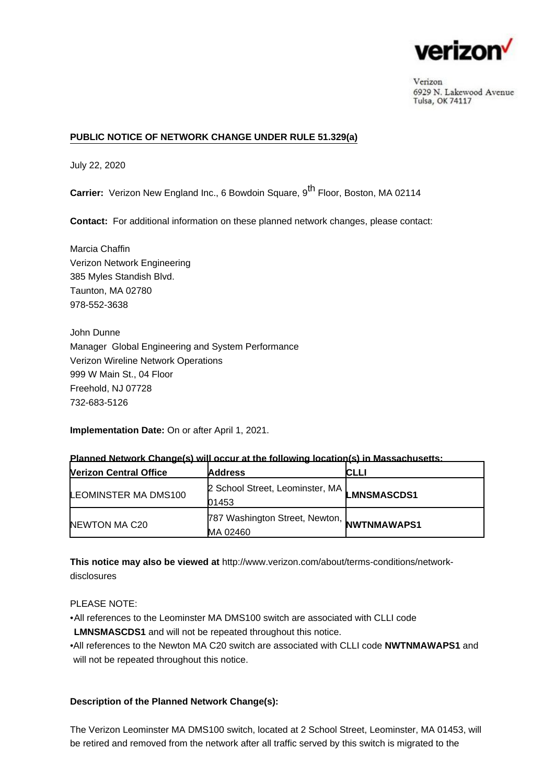

Verizon 6929 N. Lakewood Avenue Tulsa, OK 74117

## **PUBLIC NOTICE OF NETWORK CHANGE UNDER RULE 51.329(a)**

July 22, 2020

**Carrier:** Verizon New England Inc., 6 Bowdoin Square, 9<sup>th</sup> Floor, Boston, MA 02114

**Contact:** For additional information on these planned network changes, please contact:

Marcia Chaffin Verizon Network Engineering 385 Myles Standish Blvd. Taunton, MA 02780 978-552-3638

John Dunne Manager Global Engineering and System Performance Verizon Wireline Network Operations 999 W Main St., 04 Floor Freehold, NJ 07728 732-683-5126

**Implementation Date:** On or after April 1, 2021.

| <b>Nerizon Central Office</b> | <b>Address</b>                                                | CLLI               |
|-------------------------------|---------------------------------------------------------------|--------------------|
| LEOMINSTER MA DMS100          | 2 School Street, Leominster, MA<br>01453                      | <b>LMNSMASCDS1</b> |
| NEWTON MA C20                 | 787 Washington Street, Newton, <b>NWTNMAWAPS1</b><br>MA 02460 |                    |

### **Planned Network Change(s) will occur at the following location(s) in Massachusetts:**

**This notice may also be viewed at** [http://www.verizon.com/about/terms-conditions/network](http://www.verizon.com/about/terms-conditions/network-disclosures)[disclosures](http://www.verizon.com/about/terms-conditions/network-disclosures)

### PLEASE NOTE:

•All references to the Leominster MA DMS100 switch are associated with CLLI code **LMNSMASCDS1** and will not be repeated throughout this notice.

All references to the Newton MA C20 switch are associated with CLLI code **NWTNMAWAPS1** and • will not be repeated throughout this notice.

### **Description of the Planned Network Change(s):**

The Verizon Leominster MA DMS100 switch, located at 2 School Street, Leominster, MA 01453, will be retired and removed from the network after all traffic served by this switch is migrated to the